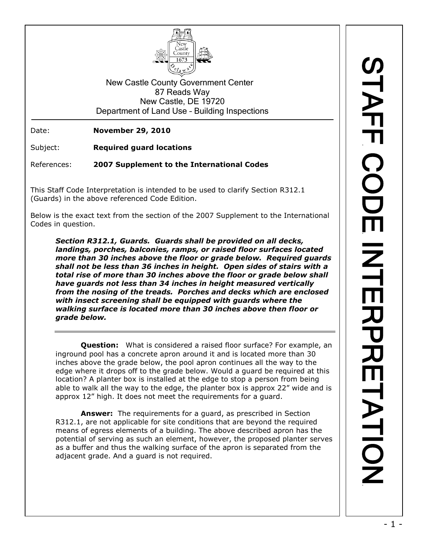

New Castle County Government Center 87 Reads Way New Castle, DE 19720 Department of Land Use – Building Inspections

Date: **November 29, 2010**

Subject: **Required guard locations**

References: **2007 Supplement to the International Codes**

This Staff Code Interpretation is intended to be used to clarify Section R312.1 (Guards) in the above referenced Code Edition.

Below is the exact text from the section of the 2007 Supplement to the International Codes in question.

*Section R312.1, Guards. Guards shall be provided on all decks, landings, porches, balconies, ramps, or raised floor surfaces located more than 30 inches above the floor or grade below. Required guards shall not be less than 36 inches in height. Open sides of stairs with a total rise of more than 30 inches above the floor or grade below shall have guards not less than 34 inches in height measured vertically from the nosing of the treads. Porches and decks which are enclosed with insect screening shall be equipped with guards where the walking surface is located more than 30 inches above then floor or grade below.*

**Question:** What is considered a raised floor surface? For example, an inground pool has a concrete apron around it and is located more than 30 inches above the grade below, the pool apron continues all the way to the edge where it drops off to the grade below. Would a guard be required at this location? A planter box is installed at the edge to stop a person from being able to walk all the way to the edge, the planter box is approx 22" wide and is approx 12" high. It does not meet the requirements for a guard.

**Answer:** The requirements for a guard, as prescribed in Section R312.1, are not applicable for site conditions that are beyond the required means of egress elements of a building. The above described apron has the potential of serving as such an element, however, the proposed planter serves as a buffer and thus the walking surface of the apron is separated from the adjacent grade. And a guard is not required.